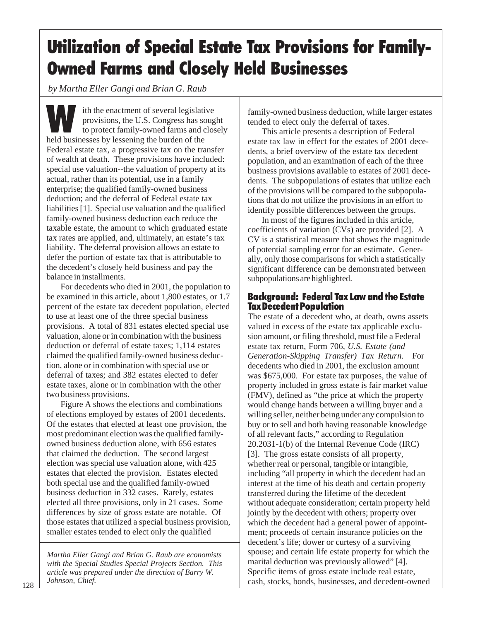*by Martha Eller Gangi and Brian G. Raub*

ith the enactment of several legislative<br>provisions, the U.S. Congress has soug<br>to protect family-owned farms and clo<br>held businesses by lessening the burden of the provisions, the U.S. Congress has sought to protect family-owned farms and closely held businesses by lessening the burden of the Federal estate tax, a progressive tax on the transfer of wealth at death. These provisions have included: special use valuation--the valuation of property at its actual, rather than its potential, use in a family enterprise; the qualified family-owned business deduction; and the deferral of Federal estate tax liabilities [1]. Special use valuation and the qualified family-owned business deduction each reduce the taxable estate, the amount to which graduated estate tax rates are applied, and, ultimately, an estate's tax liability. The deferral provision allows an estate to defer the portion of estate tax that is attributable to the decedent's closely held business and pay the balance in installments.

For decedents who died in 2001, the population to be examined in this article, about 1,800 estates, or 1.7 percent of the estate tax decedent population, elected to use at least one of the three special business provisions. A total of 831 estates elected special use valuation, alone or in combination with the business deduction or deferral of estate taxes; 1,114 estates claimed the qualified family-owned business deduction, alone or in combination with special use or deferral of taxes; and 382 estates elected to defer estate taxes, alone or in combination with the other two business provisions.

Figure A shows the elections and combinations of elections employed by estates of 2001 decedents. Of the estates that elected at least one provision, the most predominant election was the qualified familyowned business deduction alone, with 656 estates that claimed the deduction. The second largest election was special use valuation alone, with 425 estates that elected the provision. Estates elected both special use and the qualified family-owned business deduction in 332 cases. Rarely, estates elected all three provisions, only in 21 cases. Some differences by size of gross estate are notable. Of those estates that utilized a special business provision, smaller estates tended to elect only the qualified

*Martha Eller Gangi and Brian G. Raub are economists with the Special Studies Special Projects Section. This article was prepared under the direction of Barry W. Johnson, Chief.*

family-owned business deduction, while larger estates tended to elect only the deferral of taxes.

This article presents a description of Federal estate tax law in effect for the estates of 2001 decedents, a brief overview of the estate tax decedent population, and an examination of each of the three business provisions available to estates of 2001 decedents. The subpopulations of estates that utilize each of the provisions will be compared to the subpopulations that do not utilize the provisions in an effort to identify possible differences between the groups.

In most of the figures included in this article, coefficients of variation (CVs) are provided [2]. A CV is a statistical measure that shows the magnitude of potential sampling error for an estimate. Generally, only those comparisons for which a statistically significant difference can be demonstrated between subpopulations are highlighted.

## Background: Federal Tax Law and the Estate Tax Decedent Population

The estate of a decedent who, at death, owns assets valued in excess of the estate tax applicable exclusion amount, or filing threshold, must file a Federal estate tax return, Form 706, *U.S. Estate (and Generation-Skipping Transfer) Tax Return*. For decedents who died in 2001, the exclusion amount was \$675,000. For estate tax purposes, the value of property included in gross estate is fair market value (FMV), defined as "the price at which the property would change hands between a willing buyer and a willing seller, neither being under any compulsion to buy or to sell and both having reasonable knowledge of all relevant facts," according to Regulation 20.2031-1(b) of the Internal Revenue Code (IRC) [3]. The gross estate consists of all property, whether real or personal, tangible or intangible, including "all property in which the decedent had an interest at the time of his death and certain property transferred during the lifetime of the decedent without adequate consideration; certain property held jointly by the decedent with others; property over which the decedent had a general power of appointment; proceeds of certain insurance policies on the decedent's life; dower or curtesy of a surviving spouse; and certain life estate property for which the marital deduction was previously allowed" [4]. Specific items of gross estate include real estate, cash, stocks, bonds, businesses, and decedent-owned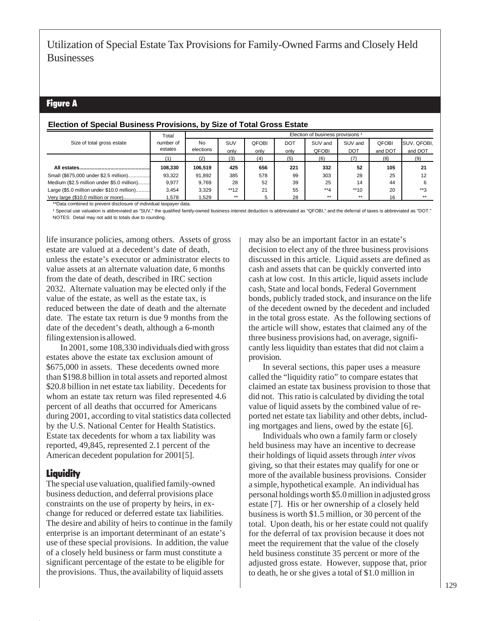# Figure A

## **Election of Special Business Provisions, by Size of Total Gross Estate**

|                                            | Total     |           |       |              |            | Election of business provisions 1 |            |         |             |
|--------------------------------------------|-----------|-----------|-------|--------------|------------|-----------------------------------|------------|---------|-------------|
| Size of total gross estate                 | number of | No        | SUV   | <b>QFOBI</b> | <b>DOT</b> | SUV and                           | SUV and    | QFOBI   | SUV, QFOBI, |
|                                            | estates   | elections | only  | only         | only       | <b>OFOBI</b>                      | <b>DOT</b> | and DOT | and DOT     |
|                                            |           | (2)       | (3)   | (4)          | (5)        | (6)                               |            | (8)     | (9)         |
|                                            | 108.330   | 106.519   | 425   | 656          | 221        | 332                               | 52         | 105     | 21          |
| Small (\$675,000 under \$2.5 million)      | 93.322    | 91,892    | 385   | 578          | 99         | 303                               | 28         | 25      | 12          |
| Medium (\$2.5 million under \$5.0 million) | 9.977     | 9.769     | 28    | 52           | 39         | 25                                | 14         | 44      |             |
| Large (\$5.0 million under \$10.0 million) | 3,454     | 3.329     | **12  | 21           | 55         | $**4$                             | $**10$     | 20      | $**2$       |
| Very large (\$10.0 million or more)        | .578      | .529      | $***$ | 5            | 28         | $***$                             | $***$      | 16      | $***$       |

\*\*Data combined to prevent disclosure of individual taxpayer data.

<sup>1</sup> Special use valuation is abbreviated as "SUV," the qualified family-owned business interest deduction is abbreviated as "QFOBI," and the deferral of taxes is abbreviated as "DOT." NOTES: Detail may not add to totals due to rounding.

life insurance policies, among others. Assets of gross estate are valued at a decedent's date of death, unless the estate's executor or administrator elects to value assets at an alternate valuation date, 6 months from the date of death, described in IRC section 2032. Alternate valuation may be elected only if the value of the estate, as well as the estate tax, is reduced between the date of death and the alternate date. The estate tax return is due 9 months from the date of the decedent's death, although a 6-month filing extension is allowed.

In 2001, some 108,330 individuals died with gross estates above the estate tax exclusion amount of \$675,000 in assets. These decedents owned more than \$198.8 billion in total assets and reported almost \$20.8 billion in net estate tax liability. Decedents for whom an estate tax return was filed represented 4.6 percent of all deaths that occurred for Americans during 2001, according to vital statistics data collected by the U.S. National Center for Health Statistics. Estate tax decedents for whom a tax liability was reported, 49,845, represented 2.1 percent of the American decedent population for 2001[5].

# Liquidity

The special use valuation, qualified family-owned business deduction, and deferral provisions place constraints on the use of property by heirs, in exchange for reduced or deferred estate tax liabilities. The desire and ability of heirs to continue in the family enterprise is an important determinant of an estate's use of these special provisions. In addition, the value of a closely held business or farm must constitute a significant percentage of the estate to be eligible for the provisions. Thus, the availability of liquid assets

may also be an important factor in an estate's decision to elect any of the three business provisions discussed in this article. Liquid assets are defined as cash and assets that can be quickly converted into cash at low cost. In this article, liquid assets include cash, State and local bonds, Federal Government bonds, publicly traded stock, and insurance on the life of the decedent owned by the decedent and included in the total gross estate. As the following sections of the article will show, estates that claimed any of the three business provisions had, on average, significantly less liquidity than estates that did not claim a provision.

In several sections, this paper uses a measure called the "liquidity ratio" to compare estates that claimed an estate tax business provision to those that did not. This ratio is calculated by dividing the total value of liquid assets by the combined value of reported net estate tax liability and other debts, including mortgages and liens, owed by the estate [6].

Individuals who own a family farm or closely held business may have an incentive to decrease their holdings of liquid assets through *inter vivos* giving, so that their estates may qualify for one or more of the available business provisions. Consider a simple, hypothetical example. An individual has personal holdings worth \$5.0 million in adjusted gross estate [7]. His or her ownership of a closely held business is worth \$1.5 million, or 30 percent of the total. Upon death, his or her estate could not qualify for the deferral of tax provision because it does not meet the requirement that the value of the closely held business constitute 35 percent or more of the adjusted gross estate. However, suppose that, prior to death, he or she gives a total of \$1.0 million in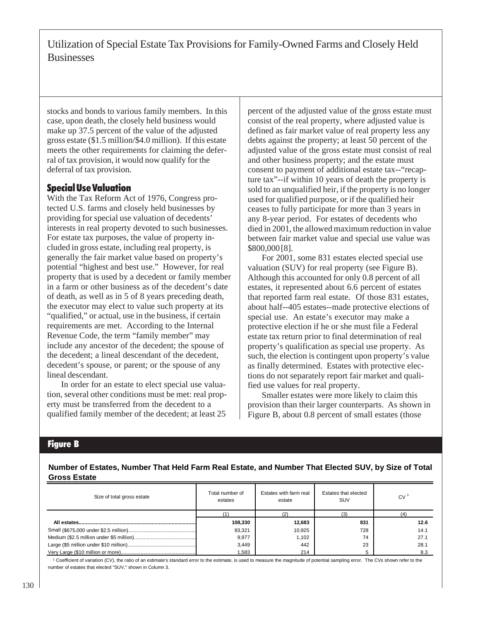stocks and bonds to various family members. In this case, upon death, the closely held business would make up 37.5 percent of the value of the adjusted gross estate (\$1.5 million/\$4.0 million). If this estate meets the other requirements for claiming the deferral of tax provision, it would now qualify for the deferral of tax provision.

## Special Use Valuation

With the Tax Reform Act of 1976, Congress protected U.S. farms and closely held businesses by providing for special use valuation of decedents' interests in real property devoted to such businesses. For estate tax purposes, the value of property included in gross estate, including real property, is generally the fair market value based on property's potential "highest and best use." However, for real property that is used by a decedent or family member in a farm or other business as of the decedent's date of death, as well as in 5 of 8 years preceding death, the executor may elect to value such property at its "qualified," or actual, use in the business, if certain requirements are met. According to the Internal Revenue Code, the term "family member" may include any ancestor of the decedent; the spouse of the decedent; a lineal descendant of the decedent, decedent's spouse, or parent; or the spouse of any lineal descendant.

In order for an estate to elect special use valuation, several other conditions must be met: real property must be transferred from the decedent to a qualified family member of the decedent; at least 25

percent of the adjusted value of the gross estate must consist of the real property, where adjusted value is defined as fair market value of real property less any debts against the property; at least 50 percent of the adjusted value of the gross estate must consist of real and other business property; and the estate must consent to payment of additional estate tax--"recapture tax"--if within 10 years of death the property is sold to an unqualified heir, if the property is no longer used for qualified purpose, or if the qualified heir ceases to fully participate for more than 3 years in any 8-year period. For estates of decedents who died in 2001, the allowed maximum reduction in value between fair market value and special use value was \$800,000 [8].

For 2001, some 831 estates elected special use valuation (SUV) for real property (see Figure B). Although this accounted for only 0.8 percent of all estates, it represented about 6.6 percent of estates that reported farm real estate. Of those 831 estates, about half--405 estates--made protective elections of special use. An estate's executor may make a protective election if he or she must file a Federal estate tax return prior to final determination of real property's qualification as special use property. As such, the election is contingent upon property's value as finally determined. Estates with protective elections do not separately report fair market and qualified use values for real property.

Smaller estates were more likely to claim this provision than their larger counterparts. As shown in Figure B, about 0.8 percent of small estates (those

#### Figure B

**Number of Estates, Number That Held Farm Real Estate, and Number That Elected SUV, by Size of Total Gross Estate**

| Size of total gross estate | Total number of<br>estates | Estates with farm real<br>estate | Estates that elected<br><b>SUV</b> | <b>CV</b> |
|----------------------------|----------------------------|----------------------------------|------------------------------------|-----------|
|                            |                            |                                  |                                    |           |
|                            | 108,330                    | 12,683                           | 831                                | 12.6      |
|                            | 93,321                     | 10.925                           | 728                                | 14.1      |
|                            | 9,977                      | 1.102                            | 74                                 | 27.1      |
|                            | 3,449                      | 442                              | 23                                 | 28.1      |
|                            | .583                       | 214                              |                                    | 8.3       |

<sup>1</sup> Coefficient of variation (CV), the ratio of an estimate's standard error to the estimate, is used to measure the magnitude of potential sampling error. The CVs shown refer to the number of estates that elected "SUV," shown in Column 3.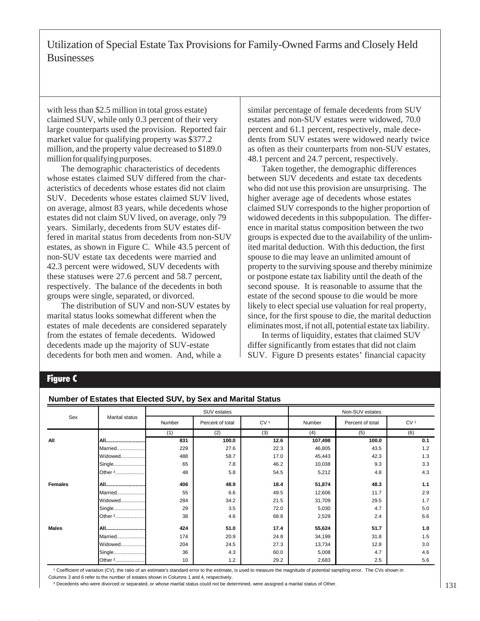with less than \$2.5 million in total gross estate) claimed SUV, while only 0.3 percent of their very large counterparts used the provision. Reported fair market value for qualifying property was \$377.2 million, and the property value decreased to \$189.0 million for qualifying purposes.

The demographic characteristics of decedents whose estates claimed SUV differed from the characteristics of decedents whose estates did not claim SUV. Decedents whose estates claimed SUV lived, on average, almost 83 years, while decedents whose estates did not claim SUV lived, on average, only 79 years. Similarly, decedents from SUV estates differed in marital status from decedents from non-SUV estates, as shown in Figure C. While 43.5 percent of non-SUV estate tax decedents were married and 42.3 percent were widowed, SUV decedents with these statuses were 27.6 percent and 58.7 percent, respectively. The balance of the decedents in both groups were single, separated, or divorced.

The distribution of SUV and non-SUV estates by marital status looks somewhat different when the estates of male decedents are considered separately from the estates of female decedents. Widowed decedents made up the majority of SUV-estate decedents for both men and women. And, while a

similar percentage of female decedents from SUV estates and non-SUV estates were widowed, 70.0 percent and 61.1 percent, respectively, male decedents from SUV estates were widowed nearly twice as often as their counterparts from non-SUV estates, 48.1 percent and 24.7 percent, respectively.

Taken together, the demographic differences between SUV decedents and estate tax decedents who did not use this provision are unsurprising. The higher average age of decedents whose estates claimed SUV corresponds to the higher proportion of widowed decedents in this subpopulation. The difference in marital status composition between the two groups is expected due to the availability of the unlimited marital deduction. With this deduction, the first spouse to die may leave an unlimited amount of property to the surviving spouse and thereby minimize or postpone estate tax liability until the death of the second spouse. It is reasonable to assume that the estate of the second spouse to die would be more likely to elect special use valuation for real property, since, for the first spouse to die, the marital deduction eliminates most, if not all, potential estate tax liability.

In terms of liquidity, estates that claimed SUV differ significantly from estates that did not claim SUV. Figure D presents estates' financial capacity

### Figure C

#### **Number of Estates that Elected SUV, by Sex and Marital Status**

|                |                       |        | SUV estates      |                 | Non-SUV estates |                  |                 |  |
|----------------|-----------------------|--------|------------------|-----------------|-----------------|------------------|-----------------|--|
| Sex            | <b>Marital status</b> | Number | Percent of total | CV <sup>1</sup> | Number          | Percent of total | CV <sup>1</sup> |  |
|                |                       | (1)    | (2)              | (3)             | (4)             | (5)              |                 |  |
| All            | All                   | 831    | 100.0            | 12.6            | 107,498         | 100.0            | 0.1             |  |
|                | Married               | 229    | 27.6             | 22.3            | 46,805          | 43.5             | 1.2             |  |
|                | Widowed               | 488    | 58.7             | 17.0            | 45,443          | 42.3             | 1.3             |  |
|                | Single                | 65     | 7.8              | 46.2            | 10,038          | 9.3              | 3.3             |  |
|                | Other <sup>2</sup>    | 48     | 5.8              | 54.5            | 5,212           | 4.8              | 4.3             |  |
| <b>Females</b> | All                   | 406    | 48.9             | 18.4            | 51,874          | 48.3             | 1.1             |  |
|                | Married               | 55     | 6.6              | 49.5            | 12,606          | 11.7             | 2.9             |  |
|                | Widowed               | 284    | 34.2             | 21.5            | 31,709          | 29.5             | 1.7             |  |
|                | Single                | 29     | 3.5              | 72.0            | 5,030           | 4.7              | 5.0             |  |
|                | Other <sup>2</sup>    | 38     | 4.6              | 68.8            | 2,529           | 2.4              | 6.6             |  |
| <b>Males</b>   | All                   | 424    | 51.0             | 17.4            | 55,624          | 51.7             | 1.0             |  |
|                | Married               | 174    | 20.9             | 24.8            | 34,199          | 31.8             | 1.5             |  |
|                | Widowed               | 204    | 24.5             | 27.3            | 13,734          | 12.8             | 3.0             |  |
|                | Single                | 36     | 4.3              | 60.0            | 5,008           | 4.7              | 4.6             |  |
|                | Other <sup>2</sup>    | 10     | 1.2              | 29.2            | 2,683           | 2.5              | 5.6             |  |

<sup>1</sup> Coefficient of variation (CV), the ratio of an estimate's standard error to the estimate, is used to measure the magnitude of potential sampling error. The CVs shown in Columns 3 and 6 refer to the number of estates shown in Columns 1 and 4, respectively.

² Decedents who were divorced or separated, or whose marital status could not be determined, were assigned a marital status of Other.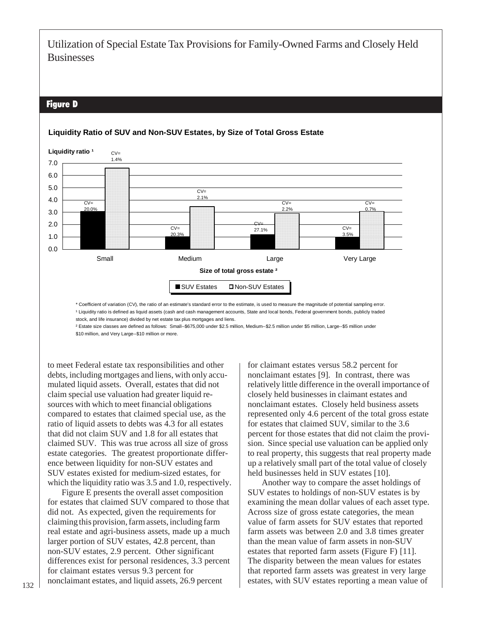## Figure D



#### **Liquidity Ratio of SUV and Non-SUV Estates, by Size of Total Gross Estate**

\* Coefficient of variation (CV), the ratio of an estimate's standard error to the estimate, is used to measure the magnitude of potential sampling error. <sup>1</sup> Liquidity ratio is defined as liquid assets (cash and cash management accounts, State and local bonds, Federal government bonds, publicly traded stock, and life insurance) divided by net estate tax plus mortgages and liens.

² Estate size classes are defined as follows: Small--\$675,000 under \$2.5 million, Medium--\$2.5 million under \$5 million, Large--\$5 million under \$10 million, and Very Large--\$10 million or more.

to meet Federal estate tax responsibilities and other debts, including mortgages and liens, with only accumulated liquid assets. Overall, estates that did not claim special use valuation had greater liquid resources with which to meet financial obligations compared to estates that claimed special use, as the ratio of liquid assets to debts was 4.3 for all estates that did not claim SUV and 1.8 for all estates that claimed SUV. This was true across all size of gross estate categories. The greatest proportionate difference between liquidity for non-SUV estates and SUV estates existed for medium-sized estates, for which the liquidity ratio was 3.5 and 1.0, respectively.

Figure E presents the overall asset composition for estates that claimed SUV compared to those that did not. As expected, given the requirements for claiming this provision, farm assets, including farm real estate and agri-business assets, made up a much larger portion of SUV estates, 42.8 percent, than non-SUV estates, 2.9 percent. Other significant differences exist for personal residences, 3.3 percent for claimant estates versus 9.3 percent for nonclaimant estates, and liquid assets, 26.9 percent

for claimant estates versus 58.2 percent for nonclaimant estates [9]. In contrast, there was relatively little difference in the overall importance of closely held businesses in claimant estates and nonclaimant estates. Closely held business assets represented only 4.6 percent of the total gross estate for estates that claimed SUV, similar to the 3.6 percent for those estates that did not claim the provision. Since special use valuation can be applied only to real property, this suggests that real property made up a relatively small part of the total value of closely held businesses held in SUV estates [10].

Another way to compare the asset holdings of SUV estates to holdings of non-SUV estates is by examining the mean dollar values of each asset type. Across size of gross estate categories, the mean value of farm assets for SUV estates that reported farm assets was between 2.0 and 3.8 times greater than the mean value of farm assets in non-SUV estates that reported farm assets (Figure F) [11]. The disparity between the mean values for estates that reported farm assets was greatest in very large estates, with SUV estates reporting a mean value of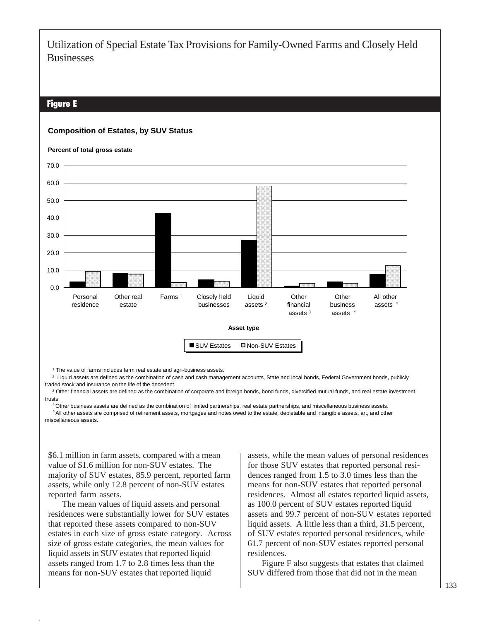### Figure E

#### **Composition of Estates, by SUV Status**



<sup>1</sup> The value of farms includes farm real estate and agri-business assets.

<sup>2</sup> Liquid assets are defined as the combination of cash and cash management accounts, State and local bonds, Federal Government bonds, publicly traded stock and insurance on the life of the decedent.

<sup>3</sup> Other financial assets are defined as the combination of corporate and foreign bonds, bond funds, diversified mutual funds, and real estate investment trusts.

<sup>4</sup> Other business assets are defined as the combination of limited partnerships, real estate partnerships, and miscellaneous business assets. <sup>5</sup> All other assets are comprised of retirement assets, mortgages and notes owed to the estate, depletable and intangible assets, art, and other miscellaneous assets.

\$6.1 million in farm assets, compared with a mean value of \$1.6 million for non-SUV estates. The majority of SUV estates, 85.9 percent, reported farm assets, while only 12.8 percent of non-SUV estates reported farm assets.

The mean values of liquid assets and personal residences were substantially lower for SUV estates that reported these assets compared to non-SUV estates in each size of gross estate category. Across size of gross estate categories, the mean values for liquid assets in SUV estates that reported liquid assets ranged from 1.7 to 2.8 times less than the means for non-SUV estates that reported liquid

assets, while the mean values of personal residences for those SUV estates that reported personal residences ranged from 1.5 to 3.0 times less than the means for non-SUV estates that reported personal residences. Almost all estates reported liquid assets, as 100.0 percent of SUV estates reported liquid assets and 99.7 percent of non-SUV estates reported liquid assets. A little less than a third, 31.5 percent, of SUV estates reported personal residences, while 61.7 percent of non-SUV estates reported personal residences.

Figure F also suggests that estates that claimed SUV differed from those that did not in the mean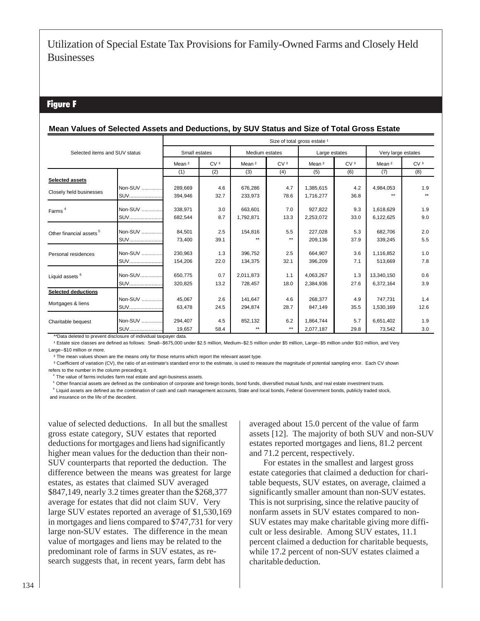### Figure F

#### **Mean Values of Selected Assets and Deductions, by SUV Status and Size of Total Gross Estate**

|                                                                   | Size of total gross estate <sup>1</sup> |                   |                 |                   |                 |                   |                 |                   |                    |  |
|-------------------------------------------------------------------|-----------------------------------------|-------------------|-----------------|-------------------|-----------------|-------------------|-----------------|-------------------|--------------------|--|
| Selected items and SUV status                                     |                                         | Small estates     |                 |                   | Medium estates  |                   | Large estates   |                   | Very large estates |  |
|                                                                   |                                         | Mean <sup>2</sup> | CV <sub>3</sub> | Mean <sup>2</sup> | CV <sup>3</sup> | Mean <sup>2</sup> | CV <sub>3</sub> | Mean <sup>2</sup> | CV <sub>3</sub>    |  |
|                                                                   |                                         | (1)               | (2)             | (3)               | (4)             | (5)               | (6)             | (7)               | (8)                |  |
| <b>Selected assets</b>                                            |                                         |                   |                 |                   |                 |                   |                 |                   |                    |  |
| Closely held businesses                                           | Non-SUV                                 | 289,669           | 4.6             | 676,286           | 4.7             | 1,385,615         | 4.2             | 4,984,053         | 1.9                |  |
|                                                                   | <b>SUV</b>                              | 394,946           | 32.7            | 233,973           | 78.6            | 1,716,277         | 36.8            |                   | $\star\star$       |  |
| Farms <sup>4</sup>                                                | Non-SUV                                 | 338,971           | 3.0             | 663,601           | 7.0             | 927,822           | 9.3             | 1,618,629         | 1.9                |  |
|                                                                   | <b>SUV</b>                              | 682,544           | 8.7             | 1,792,871         | 13.3            | 2,253,072         | 33.0            | 6,122,625         | 9.0                |  |
| Other financial assets <sup>5</sup>                               | Non-SUV                                 | 84,501            | 2.5             | 154,816           | 5.5             | 227,028           | 5.3             | 682.706           | 2.0                |  |
|                                                                   | <b>SUV</b>                              | 73,400            | 39.1            | $***$             | $***$           | 209,136           | 37.9            | 339,245           | 5.5                |  |
| Personal residences                                               | Non-SUV                                 | 230,963           | 1.3             | 396,752           | 2.5             | 664,907           | 3.6             | 1,116,852         | 1.0                |  |
|                                                                   | SUV                                     | 154,206           | 22.0            | 134,375           | 32.1            | 396,209           | 7.1             | 513,669           | 7.8                |  |
| Liquid assets <sup>6</sup>                                        | Non-SUV                                 | 650,775           | 0.7             | 2.011.873         | 1.1             | 4,063,267         | 1.3             | 13,340,150        | 0.6                |  |
|                                                                   | <b>SUV</b>                              | 320,825           | 13.2            | 728,457           | 18.0            | 2,384,936         | 27.6            | 6,372,164         | 3.9                |  |
| <b>Selected deductions</b>                                        |                                         |                   |                 |                   |                 |                   |                 |                   |                    |  |
| Mortgages & liens                                                 | Non-SUV                                 | 45,067            | 2.6             | 141,647           | 4.6             | 268,377           | 4.9             | 747,731           | 1.4                |  |
|                                                                   | <b>SUV</b>                              | 63,478            | 24.5            | 294,874           | 28.7            | 847,149           | 35.5            | 1,530,169         | 12.6               |  |
| Charitable bequest                                                | Non-SUV                                 | 294.407           | 4.5             | 852,132           | 6.2             | 1.864.744         | 5.7             | 6.651.402         | 1.9                |  |
| **Data deleted to prevent disclosure of individual taxpayer data. | <b>SUV</b>                              | 19.657            | 58.4            | $***$             | $\star\star$    | 2,077,187         | 29.8            | 73,542            | 3.0                |  |

1 Estate size classes are defined as follows: Small--\$675,000 under \$2.5 million, Medium--\$2.5 million under \$5 million, Large--\$5 million under \$10 million, and Very Large--\$10 million or more.

² The mean values shown are the means only for those returns which report the relevant asset type.

<sup>3</sup> Coefficient of variation (CV), the ratio of an estimate's standard error to the estimate, is used to measure the magnitude of potential sampling error. Each CV shown refers to the number in the column preceding it.

<sup>4</sup> The value of farms includes farm real estate and agri-business assets.

<sup>5</sup> Other financial assets are defined as the combination of corporate and foreign bonds, bond funds, diversified mutual funds, and real estate investment trusts.

<sup>6</sup> Liquid assets are defined as the combination of cash and cash management accounts, State and local bonds, Federal Government bonds, publicly traded stock,

and insurance on the life of the decedent.

value of selected deductions. In all but the smallest gross estate category, SUV estates that reported deductions for mortgages and liens had significantly higher mean values for the deduction than their non-SUV counterparts that reported the deduction. The difference between the means was greatest for large estates, as estates that claimed SUV averaged \$847,149, nearly 3.2 times greater than the \$268,377 average for estates that did not claim SUV. Very large SUV estates reported an average of \$1,530,169 in mortgages and liens compared to \$747,731 for very large non-SUV estates. The difference in the mean value of mortgages and liens may be related to the predominant role of farms in SUV estates, as research suggests that, in recent years, farm debt has

averaged about 15.0 percent of the value of farm assets [12]. The majority of both SUV and non-SUV estates reported mortgages and liens, 81.2 percent and 71.2 percent, respectively.

For estates in the smallest and largest gross estate categories that claimed a deduction for charitable bequests, SUV estates, on average, claimed a significantly smaller amount than non-SUV estates. This is not surprising, since the relative paucity of nonfarm assets in SUV estates compared to non-SUV estates may make charitable giving more difficult or less desirable. Among SUV estates, 11.1 percent claimed a deduction for charitable bequests, while 17.2 percent of non-SUV estates claimed a charitable deduction.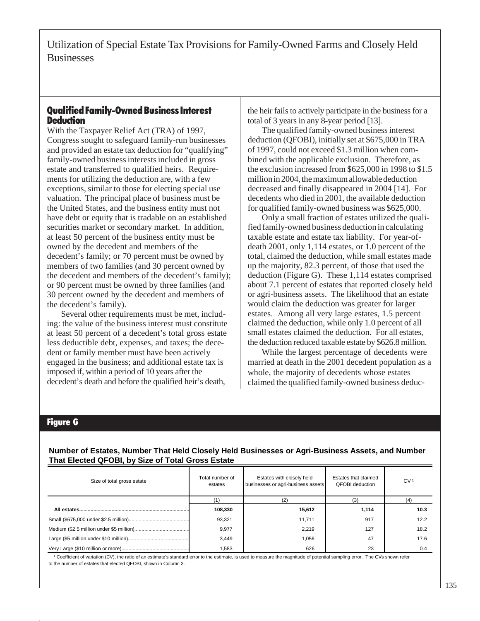## Qualified Family-Owned Business Interest **Deduction**

With the Taxpayer Relief Act (TRA) of 1997, Congress sought to safeguard family-run businesses and provided an estate tax deduction for "qualifying" family-owned business interests included in gross estate and transferred to qualified heirs. Requirements for utilizing the deduction are, with a few exceptions, similar to those for electing special use valuation. The principal place of business must be the United States, and the business entity must not have debt or equity that is tradable on an established securities market or secondary market. In addition, at least 50 percent of the business entity must be owned by the decedent and members of the decedent's family; or 70 percent must be owned by members of two families (and 30 percent owned by the decedent and members of the decedent's family); or 90 percent must be owned by three families (and 30 percent owned by the decedent and members of the decedent's family).

Several other requirements must be met, including: the value of the business interest must constitute at least 50 percent of a decedent's total gross estate less deductible debt, expenses, and taxes; the decedent or family member must have been actively engaged in the business; and additional estate tax is imposed if, within a period of 10 years after the decedent's death and before the qualified heir's death,

the heir fails to actively participate in the business for a total of 3 years in any 8-year period [13].

The qualified family-owned business interest deduction (QFOBI), initially set at \$675,000 in TRA of 1997, could not exceed \$1.3 million when combined with the applicable exclusion. Therefore, as the exclusion increased from \$625,000 in 1998 to \$1.5 million in 2004, the maximum allowable deduction decreased and finally disappeared in 2004 [14]. For decedents who died in 2001, the available deduction for qualified family-owned business was \$625,000.

Only a small fraction of estates utilized the qualified family-owned business deduction in calculating taxable estate and estate tax liability. For year-ofdeath 2001, only 1,114 estates, or 1.0 percent of the total, claimed the deduction, while small estates made up the majority, 82.3 percent, of those that used the deduction (Figure G). These 1,114 estates comprised about 7.1 percent of estates that reported closely held or agri-business assets. The likelihood that an estate would claim the deduction was greater for larger estates. Among all very large estates, 1.5 percent claimed the deduction, while only 1.0 percent of all small estates claimed the deduction. For all estates, the deduction reduced taxable estate by \$626.8 million.

While the largest percentage of decedents were married at death in the 2001 decedent population as a whole, the majority of decedents whose estates claimed the qualified family-owned business deduc-

## Figure G

#### **Number of Estates, Number That Held Closely Held Businesses or Agri-Business Assets, and Number That Elected QFOBI, by Size of Total Gross Estate**

| Size of total gross estate | Total number of<br>estates | Estates with closely held<br>businesses or agri-business assets | Estates that claimed<br><b>QFOBI</b> deduction | CV <sup>1</sup> |
|----------------------------|----------------------------|-----------------------------------------------------------------|------------------------------------------------|-----------------|
|                            |                            |                                                                 |                                                |                 |
|                            | 108,330                    | 15,612                                                          | 1,114                                          | 10.3            |
|                            | 93,321                     | 11,711                                                          | 917                                            | 12.2            |
|                            | 9,977                      | 2.219                                                           | 127                                            | 18.2            |
|                            | 3.449                      | 1.056                                                           | 47                                             | 17.6            |
|                            | 583.                       | 626                                                             | 23                                             | 0.4             |

<sup>1</sup> Coefficient of variation (CV), the ratio of an estimate's standard error to the estimate, is used to measure the magnitude of potential sampling error. The CVs shown refer to the number of estates that elected QFOBI, shown in Column 3.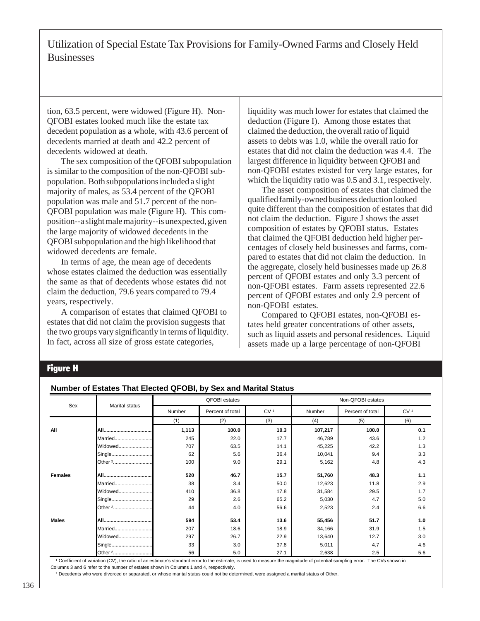tion, 63.5 percent, were widowed (Figure H). Non-QFOBI estates looked much like the estate tax decedent population as a whole, with 43.6 percent of decedents married at death and 42.2 percent of decedents widowed at death.

The sex composition of the QFOBI subpopulation is similar to the composition of the non-QFOBI subpopulation. Both subpopulations included a slight majority of males, as 53.4 percent of the QFOBI population was male and 51.7 percent of the non-QFOBI population was male (Figure H). This composition--a slight male majority--is unexpected, given the large majority of widowed decedents in the QFOBI subpopulation and the high likelihood that widowed decedents are female.

In terms of age, the mean age of decedents whose estates claimed the deduction was essentially the same as that of decedents whose estates did not claim the deduction, 79.6 years compared to 79.4 years, respectively.

A comparison of estates that claimed QFOBI to estates that did not claim the provision suggests that the two groups vary significantly in terms of liquidity. In fact, across all size of gross estate categories,

liquidity was much lower for estates that claimed the deduction (Figure I). Among those estates that claimed the deduction, the overall ratio of liquid assets to debts was 1.0, while the overall ratio for estates that did not claim the deduction was 4.4. The largest difference in liquidity between QFOBI and non-QFOBI estates existed for very large estates, for which the liquidity ratio was 0.5 and 3.1, respectively.

The asset composition of estates that claimed the qualified family-owned business deduction looked quite different than the composition of estates that did not claim the deduction. Figure J shows the asset composition of estates by QFOBI status. Estates that claimed the QFOBI deduction held higher percentages of closely held businesses and farms, compared to estates that did not claim the deduction. In the aggregate, closely held businesses made up 26.8 percent of QFOBI estates and only 3.3 percent of non-QFOBI estates. Farm assets represented 22.6 percent of QFOBI estates and only 2.9 percent of non-QFOBI estates.

Compared to QFOBI estates, non-QFOBI estates held greater concentrations of other assets, such as liquid assets and personal residences. Liquid assets made up a large percentage of non-QFOBI

## Figure H

#### **Number of Estates That Elected QFOBI, by Sex and Marital Status**

|                |                    |        | <b>QFOBI</b> estates |                 | Non-QFOBI estates |                  |                 |  |
|----------------|--------------------|--------|----------------------|-----------------|-------------------|------------------|-----------------|--|
| Sex            | Marital status     | Number | Percent of total     | CV <sup>1</sup> | Number            | Percent of total | CV <sup>1</sup> |  |
|                |                    | (1)    | (2)                  | (3)             | (4)               | (5)              | (6)             |  |
| All            |                    | 1,113  | 100.0                | 10.3            | 107,217           | 100.0            | 0.1             |  |
|                | Married            | 245    | 22.0                 | 17.7            | 46,789            | 43.6             | 1.2             |  |
|                | Widowed            | 707    | 63.5                 | 14.1            | 45,225            | 42.2             | 1.3             |  |
|                |                    | 62     | 5.6                  | 36.4            | 10,041            | 9.4              | 3.3             |  |
|                | Other <sup>2</sup> | 100    | 9.0                  | 29.1            | 5,162             | 4.8              | 4.3             |  |
| <b>Females</b> |                    | 520    | 46.7                 | 15.7            | 51,760            | 48.3             | 1.1             |  |
|                | Married            | 38     | 3.4                  | 50.0            | 12,623            | 11.8             | 2.9             |  |
|                | Widowed            | 410    | 36.8                 | 17.8            | 31,584            | 29.5             | 1.7             |  |
|                |                    | 29     | 2.6                  | 65.2            | 5,030             | 4.7              | 5.0             |  |
|                | Other 2            | 44     | 4.0                  | 56.6            | 2,523             | 2.4              | 6.6             |  |
| <b>Males</b>   |                    | 594    | 53.4                 | 13.6            | 55,456            | 51.7             | 1.0             |  |
|                | Married            | 207    | 18.6                 | 18.9            | 34,166            | 31.9             | 1.5             |  |
|                | Widowed            | 297    | 26.7                 | 22.9            | 13,640            | 12.7             | 3.0             |  |
|                |                    | 33     | 3.0                  | 37.8            | 5,011             | 4.7              | 4.6             |  |
|                |                    | 56     | 5.0                  | 27.1            | 2,638             | 2.5              | 5.6             |  |

<sup>1</sup> Coefficient of variation (CV), the ratio of an estimate's standard error to the estimate, is used to measure the magnitude of potential sampling error. The CVs shown in Columns 3 and 6 refer to the number of estates shown in Columns 1 and 4, respectively.

² Decedents who were divorced or separated, or whose marital status could not be determined, were assigned a marital status of Other.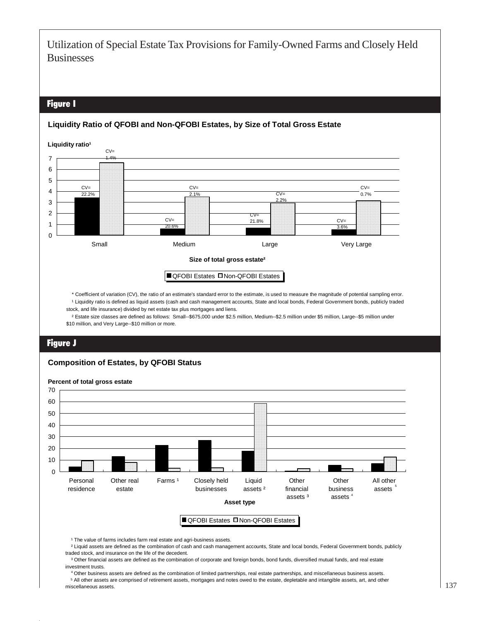## Figure I

#### **Liquidity Ratio of QFOBI and Non-QFOBI Estates, by Size of Total Gross Estate**

 \* Coefficient of variation (CV), the ratio of an estimate's standard error to the estimate, is used to measure the magnitude of potential sampling error. 0 1 2 3 4 5 6 7 Small Medium Medium Large Very Large **Size of total gross estate² QFOBI Estates Mon-QFOBI Estates** CV= 22.2%  $CV =$ 1.4%  $CV =$ 20.6% CV=  $7.0$  $\mathsf{C} \vee$ 21.8%  $CV =$ 2.2%  $C/V=$  $3.69$  $CV =$ 0.7% Liquidity ratio<sup>1</sup>

<sup>1</sup> Liquidity ratio is defined as liquid assets (cash and cash management accounts, State and local bonds, Federal Government bonds, publicly traded stock, and life insurance) divided by net estate tax plus mortgages and liens.

 ² Estate size classes are defined as follows: Small--\$675,000 under \$2.5 million, Medium--\$2.5 million under \$5 million, Large--\$5 million under \$10 million, and Very Large--\$10 million or more.

## Figure J

#### **Composition of Estates, by QFOBI Status**



<sup>1</sup> The value of farms includes farm real estate and agri-business assets.

 ² Liquid assets are defined as the combination of cash and cash management accounts, State and local bonds, Federal Government bonds, publicly traded stock, and insurance on the life of the decedent.

<sup>3</sup> Other financial assets are defined as the combination of corporate and foreign bonds, bond funds, diversified mutual funds, and real estate investment trusts.

 Other business assets are defined as the combination of limited partnerships, real estate partnerships, and miscellaneous business assets. 4 <sup>5</sup> All other assets are comprised of retirement assets, mortgages and notes owed to the estate, depletable and intangible assets, art, and other miscellaneous assets.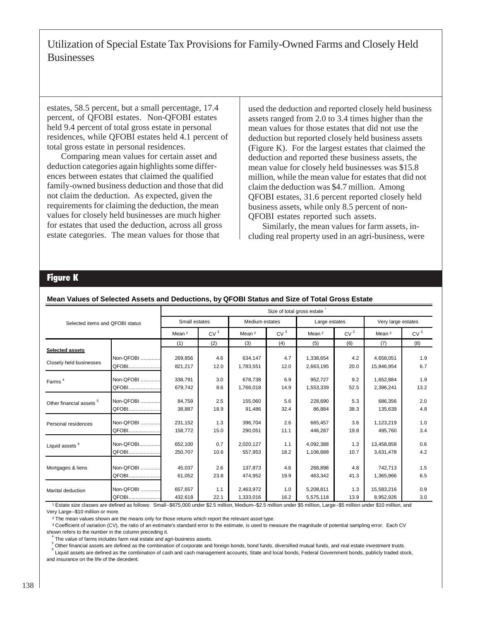estates, 58.5 percent, but a small percentage, 17.4 percent, of QFOBI estates. Non-QFOBI estates held 9.4 percent of total gross estate in personal residences, while QFOBI estates held 4.1 percent of total gross estate in personal residences.

Comparing mean values for certain asset and deduction categories again highlights some differences between estates that claimed the qualified family-owned business deduction and those that did not claim the deduction. As expected, given the requirements for claiming the deduction, the mean values for closely held businesses are much higher for estates that used the deduction, across all gross estate categories. The mean values for those that

used the deduction and reported closely held business assets ranged from 2.0 to 3.4 times higher than the mean values for those estates that did not use the deduction but reported closely held business assets (Figure K). For the largest estates that claimed the deduction and reported these business assets, the mean value for closely held businesses was \$15.8 million, while the mean value for estates that did not claim the deduction was \$4.7 million. Among QFOBI estates, 31.6 percent reported closely held business assets, while only 8.5 percent of non-QFOBI estates reported such assets.

Similarly, the mean values for farm assets, including real property used in an agri-business, were

## Figure K

|                                     |           |                   | Size of total gross estate |                   |                 |                   |                 |                   |                    |  |  |  |
|-------------------------------------|-----------|-------------------|----------------------------|-------------------|-----------------|-------------------|-----------------|-------------------|--------------------|--|--|--|
| Selected items and QFOBI status     |           | Small estates     |                            |                   | Medium estates  |                   | Large estates   |                   | Very large estates |  |  |  |
|                                     |           | Mean <sup>2</sup> | CV <sup>3</sup>            | Mean <sup>2</sup> | CV <sup>3</sup> | Mean <sup>2</sup> | CV <sup>3</sup> | Mean <sup>2</sup> | CV <sup>3</sup>    |  |  |  |
|                                     |           | (1)               | (2)                        | (3)               | (4)             | (5)               | (6)             | (7)               | (8)                |  |  |  |
| Selected assets                     |           |                   |                            |                   |                 |                   |                 |                   |                    |  |  |  |
| Closely held businesses             | Non-QFOBI | 269,856           | 4.6                        | 634,147           | 4.7             | 1,338,654         | 4.2             | 4,658,051         | 1.9                |  |  |  |
|                                     | QFOBI     | 821,217           | 12.0                       | 1,783,551         | 12.0            | 2,663,195         | 20.0            | 15,846,954        | 6.7                |  |  |  |
| Farms <sup>4</sup>                  | Non-QFOBI | 338,791           | 3.0                        | 678.738           | 6.9             | 952.727           | 9.2             | 1,652,884         | 1.9                |  |  |  |
|                                     | QFOBI     | 679,742           | 8.6                        | 1,766,018         | 14.9            | 1,553,339         | 52.5            | 2,396,241         | 13.2               |  |  |  |
| Other financial assets <sup>5</sup> | Non-QFOBI | 84,759            | 2.5                        | 155,060           | 5.6             | 228,690           | 5.3             | 686,356           | 2.0                |  |  |  |
|                                     | QFOBI     | 38,887            | 18.9                       | 91,486            | 32.4            | 86,884            | 38.3            | 135,639           | 4.8                |  |  |  |
| Personal residences                 | Non-QFOBI | 231,152           | 1.3                        | 396.704           | 2.6             | 665,457           | 3.6             | 1,123,219         | 1.0                |  |  |  |
|                                     | QFOBI     | 158,772           | 15.0                       | 290,051           | 11.1            | 446,287           | 19.8            | 495,760           | 3.4                |  |  |  |
| Liquid assets <sup>6</sup>          | Non-QFOBI | 652,100           | 0.7                        | 2,020,127         | 1.1             | 4,092,388         | 1.3             | 13,458,858        | 0.6                |  |  |  |
|                                     | QFOBI     | 250,707           | 10.6                       | 557,953           | 18.2            | 1,106,688         | 10.7            | 3,631,478         | 4.2                |  |  |  |
|                                     | Non-QFOBI | 45,037            | 2.6                        | 137,873           | 4.6             | 268,898           | 4.8             | 742,713           | 1.5                |  |  |  |
| Mortgages & liens                   |           |                   |                            |                   |                 |                   |                 |                   |                    |  |  |  |
|                                     | QFOBI     | 61,052            | 23.8                       | 474,952           | 19.9            | 463,342           | 41.3            | 1,365,966         | 6.5                |  |  |  |
| Marital deduction                   | Non-QFOBI | 657,657           | 1.1                        | 2,463,972         | 1.0             | 5,208,811         | 1.3             | 15,583,216        | 0.9                |  |  |  |
|                                     | QFOBI     | 432,618           | 22.1                       | 1,333,016         | 16.2            | 5,575,118         | 13.9            | 8,952,926         | 3.0                |  |  |  |

#### **Mean Values of Selected Assets and Deductions, by QFOBI Status and Size of Total Gross Estate**

1 Estate size classes are defined as follows: Small--\$675,000 under \$2.5 million, Medium--\$2.5 million under \$5 million, Large--\$5 million under \$10 million, and

Very Large--\$10 million or more.

<sup>2</sup> The mean values shown are the means only for those returns which report the relevant asset type.

<sup>3</sup> Coefficient of variation (CV), the ratio of an estimate's standard error to the estimate, is used to measure the magnitude of potential sampling error. Each CV shown refers to the number in the column preceding it.

 The value of farms includes farm real estate and agri-business assets. 4

 Other financial assets are defined as the combination of corporate and foreign bonds, bond funds, diversified mutual funds, and real estate investment trusts. 5

 Liquid assets are defined as the combination of cash and cash management accounts, State and local bonds, Federal Government bonds, publicly traded stock, and insurance on the life of the decedent. 6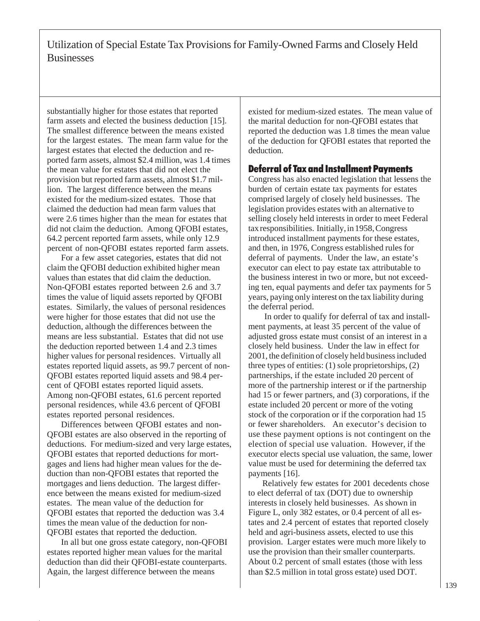substantially higher for those estates that reported farm assets and elected the business deduction [15]. The smallest difference between the means existed for the largest estates. The mean farm value for the largest estates that elected the deduction and reported farm assets, almost \$2.4 million, was 1.4 times the mean value for estates that did not elect the provision but reported farm assets, almost \$1.7 million. The largest difference between the means existed for the medium-sized estates. Those that claimed the deduction had mean farm values that were 2.6 times higher than the mean for estates that did not claim the deduction. Among QFOBI estates, 64.2 percent reported farm assets, while only 12.9 percent of non-QFOBI estates reported farm assets.

For a few asset categories, estates that did not claim the QFOBI deduction exhibited higher mean values than estates that did claim the deduction. Non-QFOBI estates reported between 2.6 and 3.7 times the value of liquid assets reported by QFOBI estates. Similarly, the values of personal residences were higher for those estates that did not use the deduction, although the differences between the means are less substantial. Estates that did not use the deduction reported between 1.4 and 2.3 times higher values for personal residences. Virtually all estates reported liquid assets, as 99.7 percent of non-QFOBI estates reported liquid assets and 98.4 percent of QFOBI estates reported liquid assets. Among non-QFOBI estates, 61.6 percent reported personal residences, while 43.6 percent of QFOBI estates reported personal residences.

Differences between QFOBI estates and non-QFOBI estates are also observed in the reporting of deductions. For medium-sized and very large estates, QFOBI estates that reported deductions for mortgages and liens had higher mean values for the deduction than non-QFOBI estates that reported the mortgages and liens deduction. The largest difference between the means existed for medium-sized estates. The mean value of the deduction for QFOBI estates that reported the deduction was 3.4 times the mean value of the deduction for non-QFOBI estates that reported the deduction.

In all but one gross estate category, non-QFOBI estates reported higher mean values for the marital deduction than did their QFOBI-estate counterparts. Again, the largest difference between the means

existed for medium-sized estates. The mean value of the marital deduction for non-QFOBI estates that reported the deduction was 1.8 times the mean value of the deduction for QFOBI estates that reported the deduction.

## Deferral of Tax and Installment Payments

Congress has also enacted legislation that lessens the burden of certain estate tax payments for estates comprised largely of closely held businesses. The legislation provides estates with an alternative to selling closely held interests in order to meet Federal tax responsibilities. Initially, in 1958, Congress introduced installment payments for these estates, and then, in 1976, Congress established rules for deferral of payments. Under the law, an estate's executor can elect to pay estate tax attributable to the business interest in two or more, but not exceeding ten, equal payments and defer tax payments for 5 years, paying only interest on the tax liability during the deferral period.

 In order to qualify for deferral of tax and installment payments, at least 35 percent of the value of adjusted gross estate must consist of an interest in a closely held business. Under the law in effect for 2001, the definition of closely held business included three types of entities: (1) sole proprietorships, (2) partnerships, if the estate included 20 percent of more of the partnership interest or if the partnership had 15 or fewer partners, and (3) corporations, if the estate included 20 percent or more of the voting stock of the corporation or if the corporation had 15 or fewer shareholders. An executor's decision to use these payment options is not contingent on the election of special use valuation. However, if the executor elects special use valuation, the same, lower value must be used for determining the deferred tax payments [16].

Relatively few estates for 2001 decedents chose to elect deferral of tax (DOT) due to ownership interests in closely held businesses. As shown in Figure L, only 382 estates, or 0.4 percent of all estates and 2.4 percent of estates that reported closely held and agri-business assets, elected to use this provision. Larger estates were much more likely to use the provision than their smaller counterparts. About 0.2 percent of small estates (those with less than \$2.5 million in total gross estate) used DOT.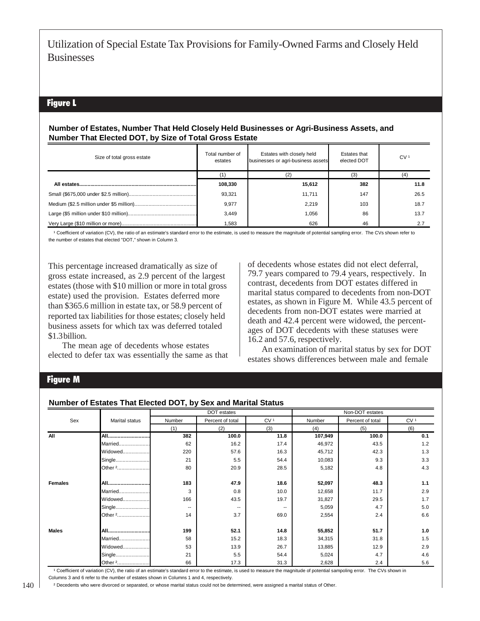## Figure L

#### **Number of Estates, Number That Held Closely Held Businesses or Agri-Business Assets, and Number That Elected DOT, by Size of Total Gross Estate**

| Size of total gross estate | Total number of<br>estates | Estates with closely held<br>businesses or agri-business assets | Estates that<br>elected DOT | CV <sup>1</sup> |
|----------------------------|----------------------------|-----------------------------------------------------------------|-----------------------------|-----------------|
|                            |                            |                                                                 |                             |                 |
|                            | 108,330                    | 15,612                                                          | 382                         | 11.8            |
|                            | 93.321                     | 11.711                                                          | 147                         | 26.5            |
|                            | 9,977                      | 2.219                                                           | 103                         | 18.7            |
|                            | 3.449                      | 1.056                                                           | 86                          | 13.7            |
|                            | 1,583                      | 626                                                             | 46                          | 2.7             |

<sup>1</sup> Coefficient of variation (CV), the ratio of an estimate's standard error to the estimate, is used to measure the magnitude of potential sampling error. The CVs shown refer to the number of estates that elected "DOT," shown in Column 3.

This percentage increased dramatically as size of gross estate increased, as 2.9 percent of the largest estates (those with \$10 million or more in total gross estate) used the provision. Estates deferred more than \$365.6 million in estate tax, or 58.9 percent of reported tax liabilities for those estates; closely held business assets for which tax was deferred totaled \$1.3 billion.

The mean age of decedents whose estates elected to defer tax was essentially the same as that of decedents whose estates did not elect deferral, 79.7 years compared to 79.4 years, respectively. In contrast, decedents from DOT estates differed in marital status compared to decedents from non-DOT estates, as shown in Figure M. While 43.5 percent of decedents from non-DOT estates were married at death and 42.4 percent were widowed, the percentages of DOT decedents with these statuses were 16.2 and 57.6, respectively.

An examination of marital status by sex for DOT estates shows differences between male and female

## Figure M

#### **Number of Estates That Elected DOT, by Sex and Marital Status**

|                |                    |        | DOT estates              |                 | Non-DOT estates |                  |                 |  |
|----------------|--------------------|--------|--------------------------|-----------------|-----------------|------------------|-----------------|--|
| Sex            | Marital status     | Number | Percent of total         | CV <sup>1</sup> | Number          | Percent of total | CV <sub>1</sub> |  |
|                |                    | (1)    | (2)                      | (3)             | (4)             | (5)              | (6)             |  |
| All            |                    | 382    | 100.0                    | 11.8            | 107,949         | 100.0            | 0.1             |  |
|                | Married            | 62     | 16.2                     | 17.4            | 46,972          | 43.5             | 1.2             |  |
|                | Widowed            | 220    | 57.6                     | 16.3            | 45,712          | 42.3             | 1.3             |  |
|                | Single             | 21     | 5.5                      | 54.4            | 10,083          | 9.3              | 3.3             |  |
|                | Other 2            | 80     | 20.9                     | 28.5            | 5,182           | 4.8              | 4.3             |  |
| <b>Females</b> | All                | 183    | 47.9                     | 18.6            | 52,097          | 48.3             | 1.1             |  |
|                | Married            | 3      | 0.8                      | 10.0            | 12,658          | 11.7             | 2.9             |  |
|                | Widowed            | 166    | 43.5                     | 19.7            | 31,827          | 29.5             | 1.7             |  |
|                | Single             | --     | $\overline{\phantom{a}}$ | --              | 5,059           | 4.7              | 5.0             |  |
|                | Other <sup>2</sup> | 14     | 3.7                      | 69.0            | 2,554           | 2.4              | 6.6             |  |
| <b>Males</b>   | All                | 199    | 52.1                     | 14.8            | 55,852          | 51.7             | 1.0             |  |
|                | Married            | 58     | 15.2                     | 18.3            | 34,315          | 31.8             | 1.5             |  |
|                | Widowed            | 53     | 13.9                     | 26.7            | 13,885          | 12.9             | 2.9             |  |
|                | Single             | 21     | 5.5                      | 54.4            | 5,024           | 4.7              | 4.6             |  |
|                | Other 2            | 66     | 17.3                     | 31.3            | 2,628           | 2.4              | 5.6             |  |

<sup>1</sup> Coefficient of variation (CV), the ratio of an estimate's standard error to the estimate, is used to measure the magnitude of potential sampoling error. The CVs shown in Columns 3 and 6 refer to the number of estates shown in Columns 1 and 4, respectively.

² Decedents who were divorced or separated, or whose marital status could not be determined, were assigned a marital status of Other.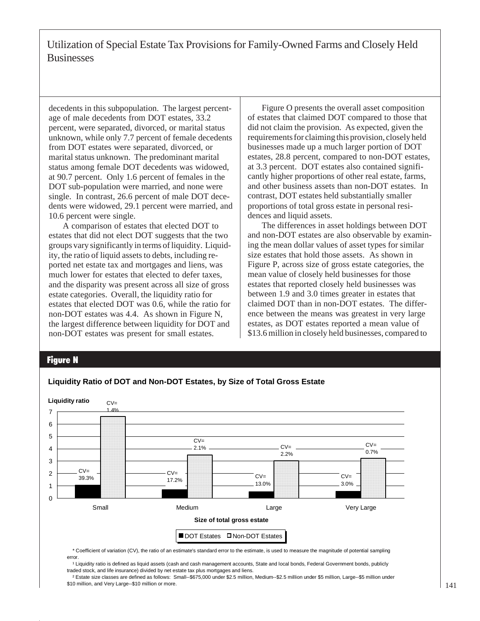decedents in this subpopulation. The largest percentage of male decedents from DOT estates, 33.2 percent, were separated, divorced, or marital status unknown, while only 7.7 percent of female decedents from DOT estates were separated, divorced, or marital status unknown. The predominant marital status among female DOT decedents was widowed, at 90.7 percent. Only 1.6 percent of females in the DOT sub-population were married, and none were single. In contrast, 26.6 percent of male DOT decedents were widowed, 29.1 percent were married, and 10.6 percent were single.

A comparison of estates that elected DOT to estates that did not elect DOT suggests that the two groups vary significantly in terms of liquidity. Liquidity, the ratio of liquid assets to debts, including reported net estate tax and mortgages and liens, was much lower for estates that elected to defer taxes, and the disparity was present across all size of gross estate categories. Overall, the liquidity ratio for estates that elected DOT was 0.6, while the ratio for non-DOT estates was 4.4. As shown in Figure N, the largest difference between liquidity for DOT and non-DOT estates was present for small estates.

Figure O presents the overall asset composition of estates that claimed DOT compared to those that did not claim the provision. As expected, given the requirements for claiming this provision, closely held businesses made up a much larger portion of DOT estates, 28.8 percent, compared to non-DOT estates, at 3.3 percent. DOT estates also contained significantly higher proportions of other real estate, farms, and other business assets than non-DOT estates. In contrast, DOT estates held substantially smaller proportions of total gross estate in personal residences and liquid assets.

The differences in asset holdings between DOT and non-DOT estates are also observable by examining the mean dollar values of asset types for similar size estates that hold those assets. As shown in Figure P, across size of gross estate categories, the mean value of closely held businesses for those estates that reported closely held businesses was between 1.9 and 3.0 times greater in estates that claimed DOT than in non-DOT estates. The difference between the means was greatest in very large estates, as DOT estates reported a mean value of \$13.6 million in closely held businesses, compared to

#### Figure N



**Liquidity Ratio of DOT and Non-DOT Estates, by Size of Total Gross Estate**

 \* Coefficient of variation (CV), the ratio of an estimate's standard error to the estimate, is used to measure the magnitude of potential sampling error.

<sup>1</sup> Liquidity ratio is defined as liquid assets (cash and cash management accounts, State and local bonds, Federal Government bonds, publicly traded stock, and life insurance) divided by net estate tax plus mortgages and liens.

 ² Estate size classes are defined as follows: Small--\$675,000 under \$2.5 million, Medium--\$2.5 million under \$5 million, Large--\$5 million under \$10 million, and Very Large--\$10 million or more.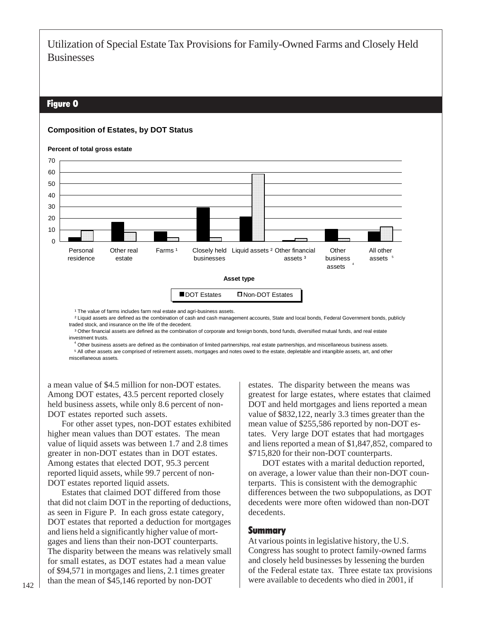## Figure O

#### **Composition of Estates, by DOT Status**



<sup>1</sup> The value of farms includes farm real estate and agri-business assets.

 ² Liquid assets are defined as the combination of cash and cash management accounts, State and local bonds, Federal Government bonds, publicly traded stock, and insurance on the life of the decedent.

 ³ Other financial assets are defined as the combination of corporate and foreign bonds, bond funds, diversified mutual funds, and real estate investment trusts.

 Other business assets are defined as the combination of limited partnerships, real estate partnerships, and miscellaneous business assets. 4 All other assets are comprised of retirement assets, mortgages and notes owed to the estate, depletable and intangible assets, art, and other 5 miscellaneous assets.

a mean value of \$4.5 million for non-DOT estates. Among DOT estates, 43.5 percent reported closely held business assets, while only 8.6 percent of non-DOT estates reported such assets.

For other asset types, non-DOT estates exhibited higher mean values than DOT estates. The mean value of liquid assets was between 1.7 and 2.8 times greater in non-DOT estates than in DOT estates. Among estates that elected DOT, 95.3 percent reported liquid assets, while 99.7 percent of non-DOT estates reported liquid assets.

Estates that claimed DOT differed from those that did not claim DOT in the reporting of deductions, as seen in Figure P. In each gross estate category, DOT estates that reported a deduction for mortgages and liens held a significantly higher value of mortgages and liens than their non-DOT counterparts. The disparity between the means was relatively small for small estates, as DOT estates had a mean value of \$94,571 in mortgages and liens, 2.1 times greater than the mean of \$45,146 reported by non-DOT

estates. The disparity between the means was greatest for large estates, where estates that claimed DOT and held mortgages and liens reported a mean value of \$832,122, nearly 3.3 times greater than the mean value of \$255,586 reported by non-DOT estates. Very large DOT estates that had mortgages and liens reported a mean of \$1,847,852, compared to \$715,820 for their non-DOT counterparts.

DOT estates with a marital deduction reported, on average, a lower value than their non-DOT counterparts. This is consistent with the demographic differences between the two subpopulations, as DOT decedents were more often widowed than non-DOT decedents.

#### Summary

At various points in legislative history, the U.S. Congress has sought to protect family-owned farms and closely held businesses by lessening the burden of the Federal estate tax. Three estate tax provisions were available to decedents who died in 2001, if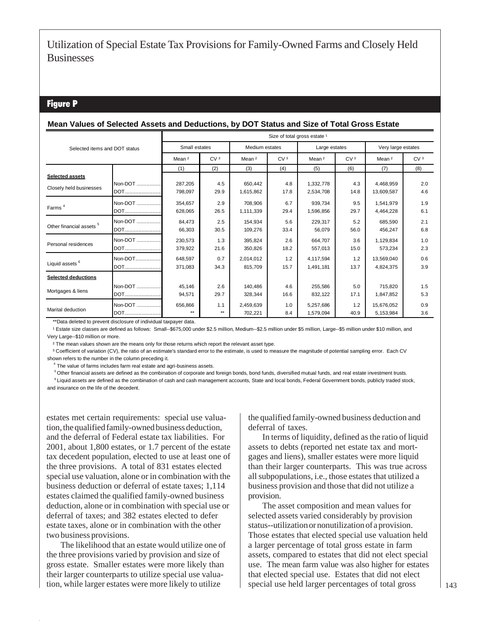## Figure P

#### **Mean Values of Selected Assets and Deductions, by DOT Status and Size of Total Gross Estate**

| Selected items and DOT status       |            |                   | Size of total gross estate <sup>1</sup> |                   |                 |                   |                 |                   |                    |  |  |  |
|-------------------------------------|------------|-------------------|-----------------------------------------|-------------------|-----------------|-------------------|-----------------|-------------------|--------------------|--|--|--|
|                                     |            | Small estates     |                                         |                   | Medium estates  |                   | Large estates   |                   | Very large estates |  |  |  |
|                                     |            | Mean <sup>2</sup> | CV <sub>3</sub>                         | Mean <sup>2</sup> | CV <sub>3</sub> | Mean <sup>2</sup> | CV <sub>3</sub> | Mean <sup>2</sup> | CV <sub>3</sub>    |  |  |  |
|                                     |            | (1)               | (2)                                     | (3)               | (4)             | (5)               | (6)             | (7)               | (8)                |  |  |  |
| <b>Selected assets</b>              |            |                   |                                         |                   |                 |                   |                 |                   |                    |  |  |  |
| Closely held businesses             | Non-DOT    | 287,205           | 4.5                                     | 650.442           | 4.8             | 1,332,778         | 4.3             | 4,468,959         | 2.0                |  |  |  |
|                                     | DOT        | 798,097           | 29.9                                    | 1,615,862         | 17.8            | 2,534,708         | 14.8            | 13,609,587        | 4.6                |  |  |  |
| Farms <sup>4</sup>                  | Non-DOT    | 354.657           | 2.9                                     | 708.906           | 6.7             | 939.734           | 9.5             | 1,541,979         | 1.9                |  |  |  |
|                                     | <b>DOT</b> | 628,065           | 26.5                                    | 1,111,339         | 29.4            | 1,596,856         | 29.7            | 4,464,228         | 6.1                |  |  |  |
|                                     | Non-DOT    | 84,473            | 2.5                                     | 154,934           | 5.6             | 229,317           | 5.2             | 685,590           | 2.1                |  |  |  |
| Other financial assets <sup>5</sup> | DOT        | 66,303            | 30.5                                    | 109,276           | 33.4            | 56,079            | 56.0            | 456,247           | 6.8                |  |  |  |
|                                     | Non-DOT    | 230,573           | 1.3                                     | 395,824           | 2.6             | 664,707           | 3.6             | 1,129,834         | 1.0                |  |  |  |
| Personal residences                 | <b>DOT</b> | 379,922           | 21.6                                    | 350,826           | 18.2            | 557,013           | 15.0            | 573,234           | 2.3                |  |  |  |
|                                     | Non-DOT    | 648,597           | 0.7                                     | 2,014,012         | 1.2             | 4,117,594         | 1.2             | 13,569,040        | 0.6                |  |  |  |
| Liquid assets <sup>6</sup>          | DOT        | 371,083           | 34.3                                    | 815.709           | 15.7            | 1,491,181         | 13.7            | 4,824,375         | 3.9                |  |  |  |
| <b>Selected deductions</b>          |            |                   |                                         |                   |                 |                   |                 |                   |                    |  |  |  |
|                                     | Non-DOT    | 45,146            | 2.6                                     | 140,486           | 4.6             | 255,586           | 5.0             | 715,820           | 1.5                |  |  |  |
| Mortgages & liens                   | <b>DOT</b> | 94,571            | 29.7                                    | 328,344           | 16.6            | 832,122           | 17.1            | 1,847,852         | 5.3                |  |  |  |
|                                     | Non-DOT    | 656,866           | 1.1                                     | 2,459,639         | 1.0             | 5,257,686         | 1.2             | 15,676,052        | 0.9                |  |  |  |
| Marital deduction                   | <b>DOT</b> | $***$             | $***$                                   | 702,221           | 8.4             | 1,579,094         | 40.9            | 5,153,984         | 3.6                |  |  |  |

\*\*Data deleted to prevent disclosure of individual taxpayer data.

<sup>1</sup> Estate size classes are defined as follows: Small--\$675,000 under \$2.5 million, Medium--\$2.5 million under \$5 million, Large--\$5 million under \$10 million, and Very Large--\$10 million or more.

<sup>2</sup> The mean values shown are the means only for those returns which report the relevant asset type.

<sup>3</sup> Coefficient of variation (CV), the ratio of an estimate's standard error to the estimate, is used to measure the magnitude of potential sampling error. Each CV shown refers to the number in the column preceding it.

 $4$  The value of farms includes farm real estate and agri-business assets.

 $5$  Other financial assets are defined as the combination of corporate and foreign bonds, bond funds, diversified mutual funds, and real estate investment trusts.

<sup>6</sup> Liquid assets are defined as the combination of cash and cash management accounts, State and local bonds, Federal Government bonds, publicly traded stock, and insurance on the life of the decedent.

estates met certain requirements: special use valuation, the qualified family-owned business deduction, and the deferral of Federal estate tax liabilities. For 2001, about 1,800 estates, or 1.7 percent of the estate tax decedent population, elected to use at least one of the three provisions. A total of 831 estates elected special use valuation, alone or in combination with the business deduction or deferral of estate taxes; 1,114 estates claimed the qualified family-owned business deduction, alone or in combination with special use or deferral of taxes; and 382 estates elected to defer estate taxes, alone or in combination with the other two business provisions.

The likelihood that an estate would utilize one of the three provisions varied by provision and size of gross estate. Smaller estates were more likely than their larger counterparts to utilize special use valuation, while larger estates were more likely to utilize

the qualified family-owned business deduction and deferral of taxes.

In terms of liquidity, defined as the ratio of liquid assets to debts (reported net estate tax and mortgages and liens), smaller estates were more liquid than their larger counterparts. This was true across all subpopulations, i.e., those estates that utilized a business provision and those that did not utilize a provision.

The asset composition and mean values for selected assets varied considerably by provision status--utilization or nonutilization of a provision. Those estates that elected special use valuation held a larger percentage of total gross estate in farm assets, compared to estates that did not elect special use. The mean farm value was also higher for estates that elected special use. Estates that did not elect special use held larger percentages of total gross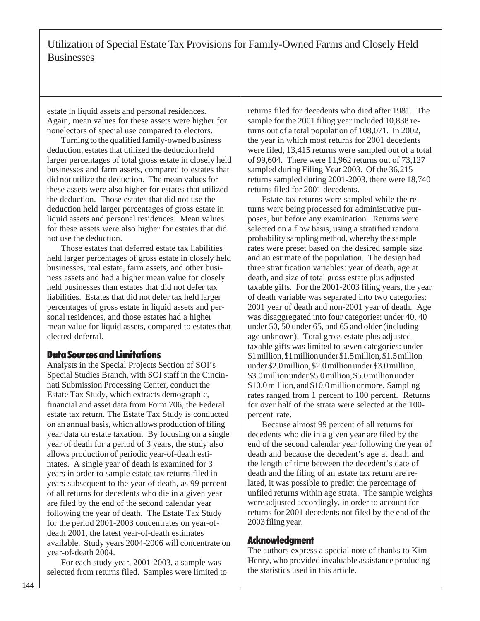estate in liquid assets and personal residences. Again, mean values for these assets were higher for nonelectors of special use compared to electors.

Turning to the qualified family-owned business deduction, estates that utilized the deduction held larger percentages of total gross estate in closely held businesses and farm assets, compared to estates that did not utilize the deduction. The mean values for these assets were also higher for estates that utilized the deduction. Those estates that did not use the deduction held larger percentages of gross estate in liquid assets and personal residences. Mean values for these assets were also higher for estates that did not use the deduction.

Those estates that deferred estate tax liabilities held larger percentages of gross estate in closely held businesses, real estate, farm assets, and other business assets and had a higher mean value for closely held businesses than estates that did not defer tax liabilities. Estates that did not defer tax held larger percentages of gross estate in liquid assets and personal residences, and those estates had a higher mean value for liquid assets, compared to estates that elected deferral.

## Data Sources and Limitations

Analysts in the Special Projects Section of SOI's Special Studies Branch, with SOI staff in the Cincinnati Submission Processing Center, conduct the Estate Tax Study, which extracts demographic, financial and asset data from Form 706, the Federal estate tax return. The Estate Tax Study is conducted on an annual basis, which allows production of filing year data on estate taxation. By focusing on a single year of death for a period of 3 years, the study also allows production of periodic year-of-death estimates. A single year of death is examined for 3 years in order to sample estate tax returns filed in years subsequent to the year of death, as 99 percent of all returns for decedents who die in a given year are filed by the end of the second calendar year following the year of death. The Estate Tax Study for the period 2001-2003 concentrates on year-ofdeath 2001, the latest year-of-death estimates available. Study years 2004-2006 will concentrate on year-of-death 2004.

For each study year, 2001-2003, a sample was selected from returns filed. Samples were limited to returns filed for decedents who died after 1981. The sample for the 2001 filing year included 10,838 returns out of a total population of 108,071. In 2002, the year in which most returns for 2001 decedents were filed, 13,415 returns were sampled out of a total of 99,604. There were 11,962 returns out of 73,127 sampled during Filing Year 2003. Of the 36,215 returns sampled during 2001-2003, there were 18,740 returns filed for 2001 decedents.

Estate tax returns were sampled while the returns were being processed for administrative purposes, but before any examination. Returns were selected on a flow basis, using a stratified random probability sampling method, whereby the sample rates were preset based on the desired sample size and an estimate of the population. The design had three stratification variables: year of death, age at death, and size of total gross estate plus adjusted taxable gifts. For the 2001-2003 filing years, the year of death variable was separated into two categories: 2001 year of death and non-2001 year of death. Age was disaggregated into four categories: under 40, 40 under 50, 50 under 65, and 65 and older (including age unknown). Total gross estate plus adjusted taxable gifts was limited to seven categories: under \$1 million, \$1 million under \$1.5 million, \$1.5 million under \$2.0 million, \$2.0 million under \$3.0 million, \$3.0 million under \$5.0 million, \$5.0 million under \$10.0 million, and \$10.0 million or more. Sampling rates ranged from 1 percent to 100 percent. Returns for over half of the strata were selected at the 100 percent rate.

Because almost 99 percent of all returns for decedents who die in a given year are filed by the end of the second calendar year following the year of death and because the decedent's age at death and the length of time between the decedent's date of death and the filing of an estate tax return are related, it was possible to predict the percentage of unfiled returns within age strata. The sample weights were adjusted accordingly, in order to account for returns for 2001 decedents not filed by the end of the 2003 filing year.

## Acknowledgment

The authors express a special note of thanks to Kim Henry, who provided invaluable assistance producing the statistics used in this article.